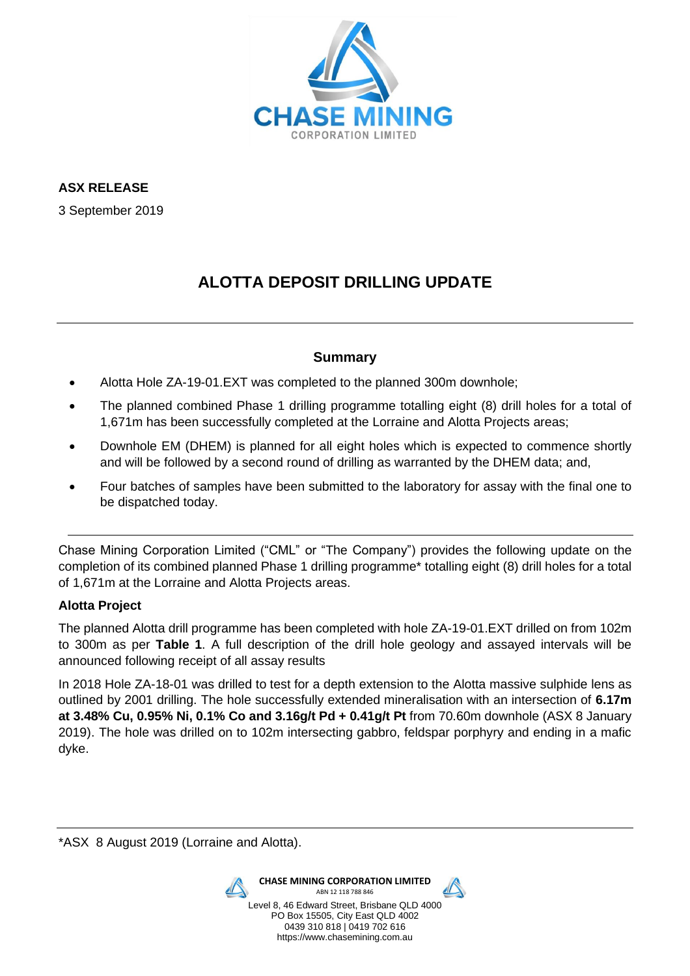

**ASX RELEASE**

3 September 2019

# **ALOTTA DEPOSIT DRILLING UPDATE**

## **Summary**

- Alotta Hole ZA-19-01.EXT was completed to the planned 300m downhole;
- The planned combined Phase 1 drilling programme totalling eight (8) drill holes for a total of 1,671m has been successfully completed at the Lorraine and Alotta Projects areas;
- Downhole EM (DHEM) is planned for all eight holes which is expected to commence shortly and will be followed by a second round of drilling as warranted by the DHEM data; and,
- Four batches of samples have been submitted to the laboratory for assay with the final one to be dispatched today.

Chase Mining Corporation Limited ("CML" or "The Company") provides the following update on the completion of its combined planned Phase 1 drilling programme\* totalling eight (8) drill holes for a total of 1,671m at the Lorraine and Alotta Projects areas.

## **Alotta Project**

The planned Alotta drill programme has been completed with hole ZA-19-01.EXT drilled on from 102m to 300m as per **Table 1**. A full description of the drill hole geology and assayed intervals will be announced following receipt of all assay results

In 2018 Hole ZA-18-01 was drilled to test for a depth extension to the Alotta massive sulphide lens as outlined by 2001 drilling. The hole successfully extended mineralisation with an intersection of **6.17m at 3.48% Cu, 0.95% Ni, 0.1% Co and 3.16g/t Pd + 0.41g/t Pt** from 70.60m downhole (ASX 8 January 2019). The hole was drilled on to 102m intersecting gabbro, feldspar porphyry and ending in a mafic dyke.

\*ASX 8 August 2019 (Lorraine and Alotta).

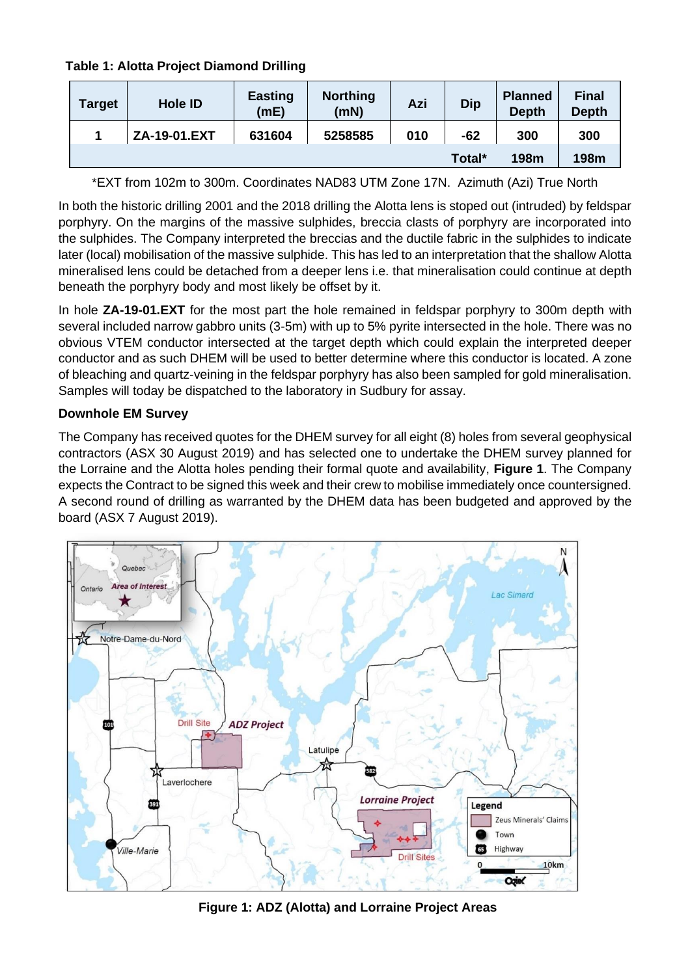**Table 1: Alotta Project Diamond Drilling**

| <b>Target</b> | <b>Hole ID</b> | <b>Easting</b><br>(mE) | <b>Northing</b><br>(mN) | Azi | <b>Dip</b> | <b>Planned</b><br><b>Depth</b> | <b>Final</b><br><b>Depth</b> |
|---------------|----------------|------------------------|-------------------------|-----|------------|--------------------------------|------------------------------|
|               | ZA-19-01.EXT   | 631604                 | 5258585                 | 010 | -62        | 300                            | 300                          |
|               |                |                        |                         |     | Total*     | 198m                           | 198m                         |

\*EXT from 102m to 300m. Coordinates NAD83 UTM Zone 17N. Azimuth (Azi) True North

In both the historic drilling 2001 and the 2018 drilling the Alotta lens is stoped out (intruded) by feldspar porphyry. On the margins of the massive sulphides, breccia clasts of porphyry are incorporated into the sulphides. The Company interpreted the breccias and the ductile fabric in the sulphides to indicate later (local) mobilisation of the massive sulphide. This has led to an interpretation that the shallow Alotta mineralised lens could be detached from a deeper lens i.e. that mineralisation could continue at depth beneath the porphyry body and most likely be offset by it.

In hole **ZA-19-01.EXT** for the most part the hole remained in feldspar porphyry to 300m depth with several included narrow gabbro units (3-5m) with up to 5% pyrite intersected in the hole. There was no obvious VTEM conductor intersected at the target depth which could explain the interpreted deeper conductor and as such DHEM will be used to better determine where this conductor is located. A zone of bleaching and quartz-veining in the feldspar porphyry has also been sampled for gold mineralisation. Samples will today be dispatched to the laboratory in Sudbury for assay.

## **Downhole EM Survey**

The Company has received quotes for the DHEM survey for all eight (8) holes from several geophysical contractors (ASX 30 August 2019) and has selected one to undertake the DHEM survey planned for the Lorraine and the Alotta holes pending their formal quote and availability, **Figure 1**. The Company expects the Contract to be signed this week and their crew to mobilise immediately once countersigned. A second round of drilling as warranted by the DHEM data has been budgeted and approved by the board (ASX 7 August 2019).



**Figure 1: ADZ (Alotta) and Lorraine Project Areas**